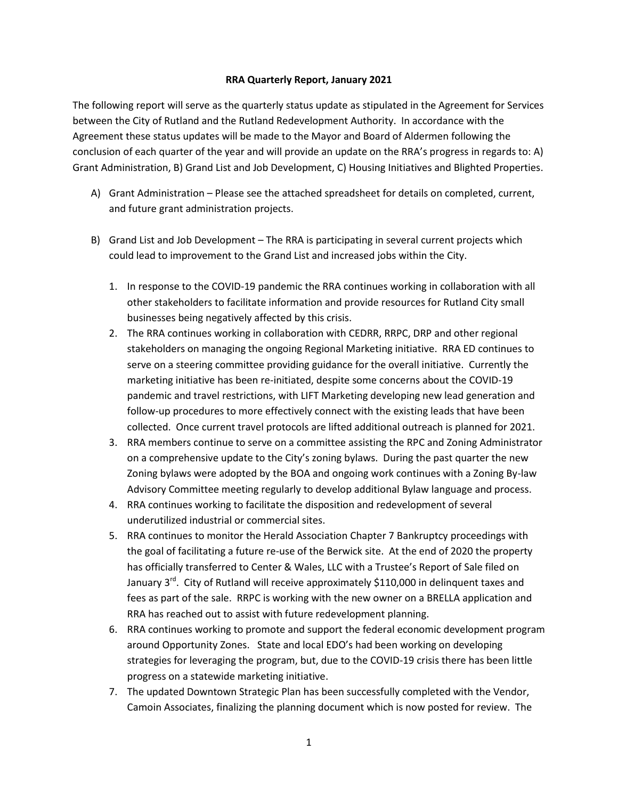## **RRA Quarterly Report, January 2021**

The following report will serve as the quarterly status update as stipulated in the Agreement for Services between the City of Rutland and the Rutland Redevelopment Authority. In accordance with the Agreement these status updates will be made to the Mayor and Board of Aldermen following the conclusion of each quarter of the year and will provide an update on the RRA's progress in regards to: A) Grant Administration, B) Grand List and Job Development, C) Housing Initiatives and Blighted Properties.

- A) Grant Administration Please see the attached spreadsheet for details on completed, current, and future grant administration projects.
- B) Grand List and Job Development The RRA is participating in several current projects which could lead to improvement to the Grand List and increased jobs within the City.
	- 1. In response to the COVID-19 pandemic the RRA continues working in collaboration with all other stakeholders to facilitate information and provide resources for Rutland City small businesses being negatively affected by this crisis.
	- 2. The RRA continues working in collaboration with CEDRR, RRPC, DRP and other regional stakeholders on managing the ongoing Regional Marketing initiative. RRA ED continues to serve on a steering committee providing guidance for the overall initiative. Currently the marketing initiative has been re-initiated, despite some concerns about the COVID-19 pandemic and travel restrictions, with LIFT Marketing developing new lead generation and follow-up procedures to more effectively connect with the existing leads that have been collected. Once current travel protocols are lifted additional outreach is planned for 2021.
	- 3. RRA members continue to serve on a committee assisting the RPC and Zoning Administrator on a comprehensive update to the City's zoning bylaws. During the past quarter the new Zoning bylaws were adopted by the BOA and ongoing work continues with a Zoning By-law Advisory Committee meeting regularly to develop additional Bylaw language and process.
	- 4. RRA continues working to facilitate the disposition and redevelopment of several underutilized industrial or commercial sites.
	- 5. RRA continues to monitor the Herald Association Chapter 7 Bankruptcy proceedings with the goal of facilitating a future re-use of the Berwick site. At the end of 2020 the property has officially transferred to Center & Wales, LLC with a Trustee's Report of Sale filed on January 3<sup>rd</sup>. City of Rutland will receive approximately \$110,000 in delinquent taxes and fees as part of the sale. RRPC is working with the new owner on a BRELLA application and RRA has reached out to assist with future redevelopment planning.
	- 6. RRA continues working to promote and support the federal economic development program around Opportunity Zones. State and local EDO's had been working on developing strategies for leveraging the program, but, due to the COVID-19 crisis there has been little progress on a statewide marketing initiative.
	- 7. The updated Downtown Strategic Plan has been successfully completed with the Vendor, Camoin Associates, finalizing the planning document which is now posted for review. The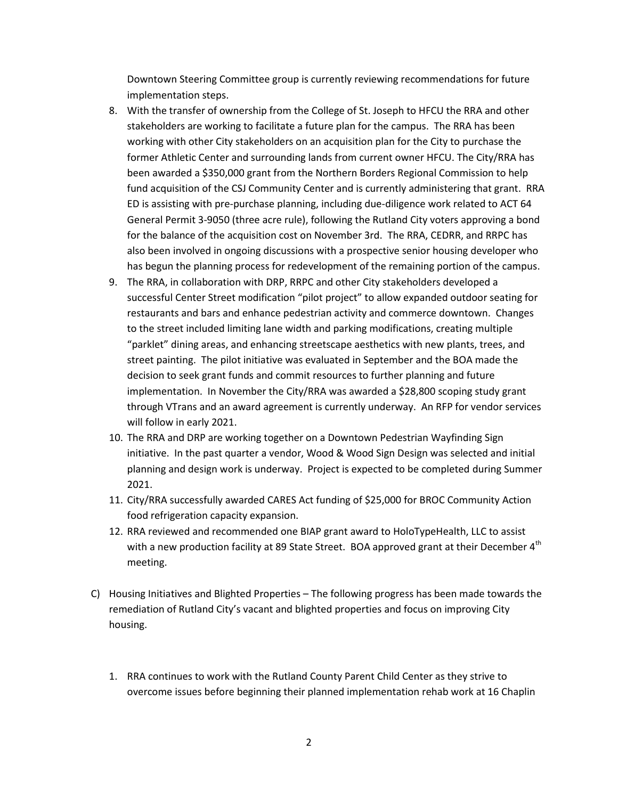Downtown Steering Committee group is currently reviewing recommendations for future implementation steps.

- 8. With the transfer of ownership from the College of St. Joseph to HFCU the RRA and other stakeholders are working to facilitate a future plan for the campus. The RRA has been working with other City stakeholders on an acquisition plan for the City to purchase the former Athletic Center and surrounding lands from current owner HFCU. The City/RRA has been awarded a \$350,000 grant from the Northern Borders Regional Commission to help fund acquisition of the CSJ Community Center and is currently administering that grant. RRA ED is assisting with pre-purchase planning, including due-diligence work related to ACT 64 General Permit 3-9050 (three acre rule), following the Rutland City voters approving a bond for the balance of the acquisition cost on November 3rd. The RRA, CEDRR, and RRPC has also been involved in ongoing discussions with a prospective senior housing developer who has begun the planning process for redevelopment of the remaining portion of the campus.
- 9. The RRA, in collaboration with DRP, RRPC and other City stakeholders developed a successful Center Street modification "pilot project" to allow expanded outdoor seating for restaurants and bars and enhance pedestrian activity and commerce downtown. Changes to the street included limiting lane width and parking modifications, creating multiple "parklet" dining areas, and enhancing streetscape aesthetics with new plants, trees, and street painting. The pilot initiative was evaluated in September and the BOA made the decision to seek grant funds and commit resources to further planning and future implementation. In November the City/RRA was awarded a \$28,800 scoping study grant through VTrans and an award agreement is currently underway. An RFP for vendor services will follow in early 2021.
- 10. The RRA and DRP are working together on a Downtown Pedestrian Wayfinding Sign initiative. In the past quarter a vendor, Wood & Wood Sign Design was selected and initial planning and design work is underway. Project is expected to be completed during Summer 2021.
- 11. City/RRA successfully awarded CARES Act funding of \$25,000 for BROC Community Action food refrigeration capacity expansion.
- 12. RRA reviewed and recommended one BIAP grant award to HoloTypeHealth, LLC to assist with a new production facility at 89 State Street. BOA approved grant at their December  $4<sup>th</sup>$ meeting.
- C) Housing Initiatives and Blighted Properties The following progress has been made towards the remediation of Rutland City's vacant and blighted properties and focus on improving City housing.
	- 1. RRA continues to work with the Rutland County Parent Child Center as they strive to overcome issues before beginning their planned implementation rehab work at 16 Chaplin